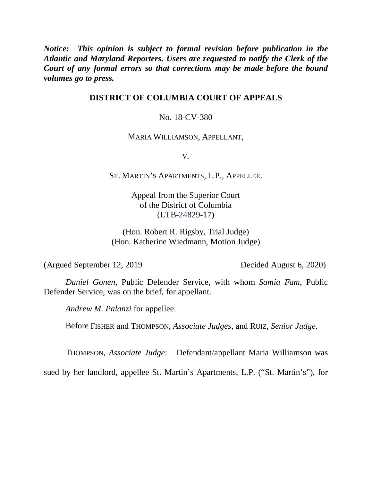*Notice: This opinion is subject to formal revision before publication in the Atlantic and Maryland Reporters. Users are requested to notify the Clerk of the Court of any formal errors so that corrections may be made before the bound volumes go to press.*

# **DISTRICT OF COLUMBIA COURT OF APPEALS**

### No. 18-CV-380

#### MARIA WILLIAMSON, APPELLANT,

V.

ST. MARTIN'S APARTMENTS, L.P., APPELLEE.

Appeal from the Superior Court of the District of Columbia (LTB-24829-17)

(Hon. Robert R. Rigsby, Trial Judge) (Hon. Katherine Wiedmann, Motion Judge)

(Argued September 12, 2019 Decided August 6, 2020)

*Daniel Gonen*, Public Defender Service, with whom *Samia Fam*, Public Defender Service, was on the brief, for appellant.

*Andrew M. Palanzi* for appellee.

Before FISHER and THOMPSON, *Associate Judges*, and RUIZ, *Senior Judge*.

THOMPSON, *Associate Judge*: Defendant/appellant Maria Williamson was

sued by her landlord, appellee St. Martin's Apartments, L.P. ("St. Martin's"), for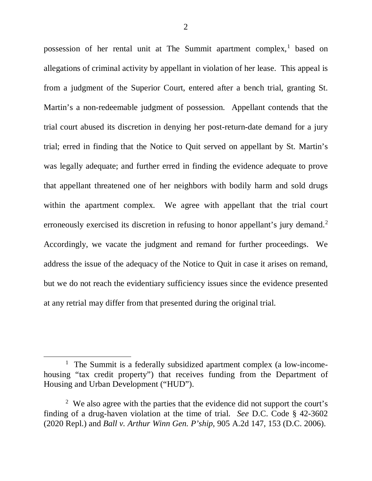possession of her rental unit at The Summit apartment complex,<sup>[1](#page-1-0)</sup> based on allegations of criminal activity by appellant in violation of her lease. This appeal is from a judgment of the Superior Court, entered after a bench trial, granting St. Martin's a non-redeemable judgment of possession. Appellant contends that the trial court abused its discretion in denying her post-return-date demand for a jury trial; erred in finding that the Notice to Quit served on appellant by St. Martin's was legally adequate; and further erred in finding the evidence adequate to prove that appellant threatened one of her neighbors with bodily harm and sold drugs within the apartment complex. We agree with appellant that the trial court erroneously exercised its discretion in refusing to honor appellant's jury demand.<sup>[2](#page-1-1)</sup> Accordingly, we vacate the judgment and remand for further proceedings. We address the issue of the adequacy of the Notice to Quit in case it arises on remand, but we do not reach the evidentiary sufficiency issues since the evidence presented at any retrial may differ from that presented during the original trial.

<span id="page-1-0"></span><sup>&</sup>lt;sup>1</sup> The Summit is a federally subsidized apartment complex (a low-incomehousing "tax credit property") that receives funding from the Department of Housing and Urban Development ("HUD").

<span id="page-1-1"></span><sup>&</sup>lt;sup>2</sup> We also agree with the parties that the evidence did not support the court's finding of a drug-haven violation at the time of trial. *See* D.C. Code § 42-3602 (2020 Repl.) and *Ball v. Arthur Winn Gen. P'ship*, 905 A.2d 147, 153 (D.C. 2006).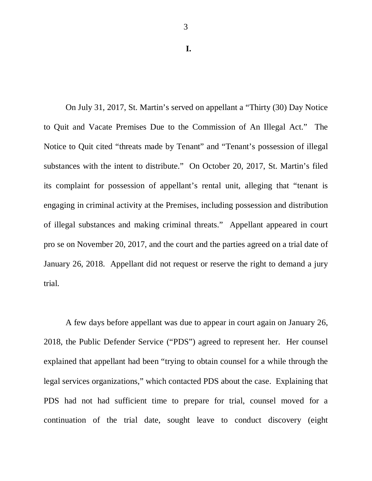**I.**

3

On July 31, 2017, St. Martin's served on appellant a "Thirty (30) Day Notice to Quit and Vacate Premises Due to the Commission of An Illegal Act." The Notice to Quit cited "threats made by Tenant" and "Tenant's possession of illegal substances with the intent to distribute." On October 20, 2017, St. Martin's filed its complaint for possession of appellant's rental unit, alleging that "tenant is engaging in criminal activity at the Premises, including possession and distribution of illegal substances and making criminal threats." Appellant appeared in court pro se on November 20, 2017, and the court and the parties agreed on a trial date of January 26, 2018. Appellant did not request or reserve the right to demand a jury trial.

A few days before appellant was due to appear in court again on January 26, 2018, the Public Defender Service ("PDS") agreed to represent her. Her counsel explained that appellant had been "trying to obtain counsel for a while through the legal services organizations," which contacted PDS about the case. Explaining that PDS had not had sufficient time to prepare for trial, counsel moved for a continuation of the trial date, sought leave to conduct discovery (eight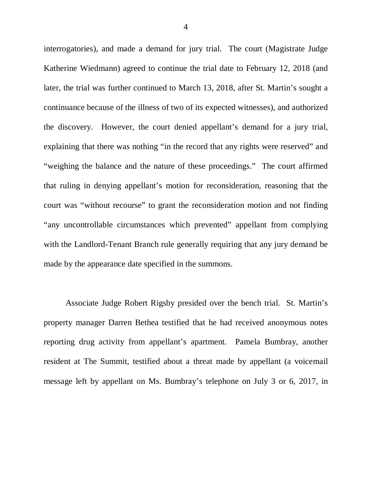interrogatories), and made a demand for jury trial. The court (Magistrate Judge Katherine Wiedmann) agreed to continue the trial date to February 12, 2018 (and later, the trial was further continued to March 13, 2018, after St. Martin's sought a continuance because of the illness of two of its expected witnesses), and authorized the discovery. However, the court denied appellant's demand for a jury trial, explaining that there was nothing "in the record that any rights were reserved" and "weighing the balance and the nature of these proceedings." The court affirmed that ruling in denying appellant's motion for reconsideration, reasoning that the court was "without recourse" to grant the reconsideration motion and not finding "any uncontrollable circumstances which prevented" appellant from complying with the Landlord-Tenant Branch rule generally requiring that any jury demand be made by the appearance date specified in the summons.

Associate Judge Robert Rigsby presided over the bench trial. St. Martin's property manager Darren Bethea testified that he had received anonymous notes reporting drug activity from appellant's apartment. Pamela Bumbray, another resident at The Summit, testified about a threat made by appellant (a voicemail message left by appellant on Ms. Bumbray's telephone on July 3 or 6, 2017, in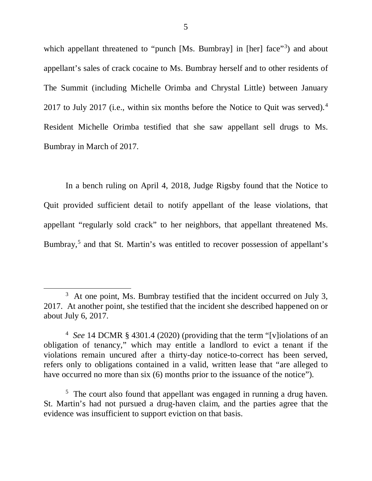which appellant threatened to "punch [Ms. Bumbray] in [her] face"<sup>[3](#page-4-0)</sup>) and about appellant's sales of crack cocaine to Ms. Bumbray herself and to other residents of The Summit (including Michelle Orimba and Chrystal Little) between January 2017 to July 2017 (i.e., within six months before the Notice to Quit was served).<sup>[4](#page-4-1)</sup> Resident Michelle Orimba testified that she saw appellant sell drugs to Ms. Bumbray in March of 2017.

In a bench ruling on April 4, 2018, Judge Rigsby found that the Notice to Quit provided sufficient detail to notify appellant of the lease violations, that appellant "regularly sold crack" to her neighbors, that appellant threatened Ms. Bumbray, [5](#page-4-2) and that St. Martin's was entitled to recover possession of appellant's

<span id="page-4-0"></span> $3\,$  At one point, Ms. Bumbray testified that the incident occurred on July 3, 2017. At another point, she testified that the incident she described happened on or about July 6, 2017.

<span id="page-4-1"></span><sup>4</sup> *See* 14 DCMR § 4301.4 (2020) (providing that the term "[v]iolations of an obligation of tenancy," which may entitle a landlord to evict a tenant if the violations remain uncured after a thirty-day notice-to-correct has been served, refers only to obligations contained in a valid, written lease that "are alleged to have occurred no more than six (6) months prior to the issuance of the notice".

<span id="page-4-2"></span> $5$  The court also found that appellant was engaged in running a drug haven. St. Martin's had not pursued a drug-haven claim, and the parties agree that the evidence was insufficient to support eviction on that basis.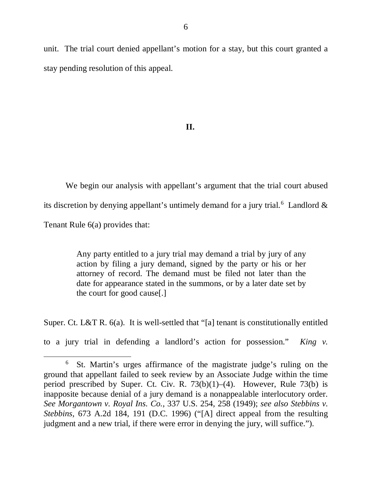unit. The trial court denied appellant's motion for a stay, but this court granted a stay pending resolution of this appeal.

## **II.**

We begin our analysis with appellant's argument that the trial court abused its discretion by denying appellant's untimely demand for a jury trial.<sup>[6](#page-5-0)</sup> Landlord  $\&$ Tenant Rule 6(a) provides that:

> Any party entitled to a jury trial may demand a trial by jury of any action by filing a jury demand, signed by the party or his or her attorney of record. The demand must be filed not later than the date for appearance stated in the summons, or by a later date set by the court for good cause[.]

Super. Ct. L&T R. 6(a). It is well-settled that "[a] tenant is constitutionally entitled

to a jury trial in defending a landlord's action for possession." *King v.* 

<span id="page-5-0"></span><sup>6</sup> St. Martin's urges affirmance of the magistrate judge's ruling on the ground that appellant failed to seek review by an Associate Judge within the time period prescribed by Super. Ct. Civ. R.  $73(b)(1)–(4)$ . However, Rule  $73(b)$  is inapposite because denial of a jury demand is a nonappealable interlocutory order. *See Morgantown v. Royal Ins. Co.*, 337 U.S. 254, 258 (1949); *see also Stebbins v. Stebbins*, 673 A.2d 184, 191 (D.C. 1996) ("[A] direct appeal from the resulting judgment and a new trial, if there were error in denying the jury, will suffice.").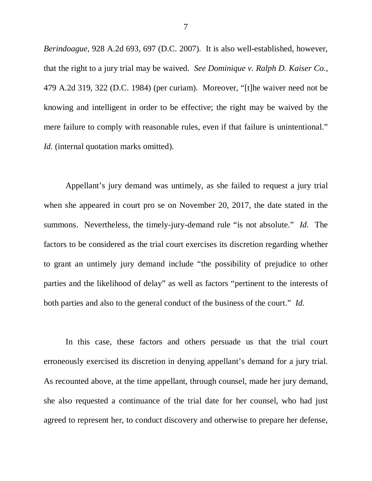*Berindoague*, 928 A.2d 693, 697 (D.C. 2007). It is also well-established, however, that the right to a jury trial may be waived. *See Dominique v. Ralph D. Kaiser Co.*, 479 A.2d 319, 322 (D.C. 1984) (per curiam). Moreover, "[t]he waiver need not be knowing and intelligent in order to be effective; the right may be waived by the mere failure to comply with reasonable rules, even if that failure is unintentional." *Id.* (internal quotation marks omitted).

Appellant's jury demand was untimely, as she failed to request a jury trial when she appeared in court pro se on November 20, 2017, the date stated in the summons. Nevertheless, the timely-jury-demand rule "is not absolute." *Id.* The factors to be considered as the trial court exercises its discretion regarding whether to grant an untimely jury demand include "the possibility of prejudice to other parties and the likelihood of delay" as well as factors "pertinent to the interests of both parties and also to the general conduct of the business of the court." *Id.* 

In this case, these factors and others persuade us that the trial court erroneously exercised its discretion in denying appellant's demand for a jury trial. As recounted above, at the time appellant, through counsel, made her jury demand, she also requested a continuance of the trial date for her counsel, who had just agreed to represent her, to conduct discovery and otherwise to prepare her defense,

7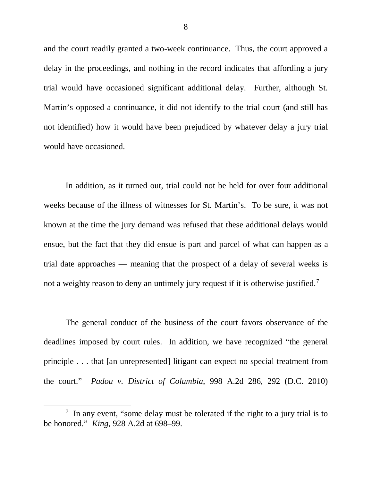and the court readily granted a two-week continuance. Thus, the court approved a delay in the proceedings, and nothing in the record indicates that affording a jury trial would have occasioned significant additional delay. Further, although St. Martin's opposed a continuance, it did not identify to the trial court (and still has not identified) how it would have been prejudiced by whatever delay a jury trial would have occasioned.

In addition, as it turned out, trial could not be held for over four additional weeks because of the illness of witnesses for St. Martin's. To be sure, it was not known at the time the jury demand was refused that these additional delays would ensue, but the fact that they did ensue is part and parcel of what can happen as a trial date approaches — meaning that the prospect of a delay of several weeks is not a weighty reason to deny an untimely jury request if it is otherwise justified.<sup>[7](#page-7-0)</sup>

The general conduct of the business of the court favors observance of the deadlines imposed by court rules. In addition, we have recognized "the general principle . . . that [an unrepresented] litigant can expect no special treatment from the court." *Padou v. District of Columbia*, 998 A.2d 286, 292 (D.C. 2010)

<span id="page-7-0"></span><sup>&</sup>lt;sup>7</sup> In any event, "some delay must be tolerated if the right to a jury trial is to be honored." *King*, 928 A.2d at 698–99.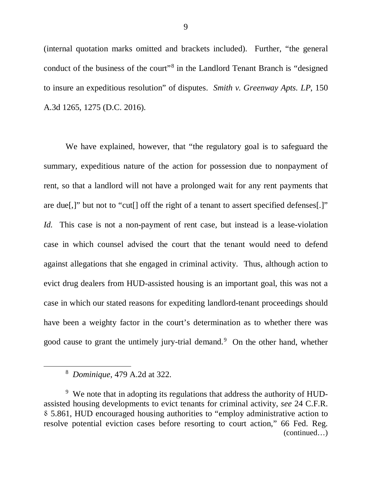(internal quotation marks omitted and brackets included). Further, "the general conduct of the business of the court"<sup>[8](#page-8-0)</sup> in the Landlord Tenant Branch is "designed" to insure an expeditious resolution" of disputes. *Smith v. Greenway Apts. LP*, 150 A.3d 1265, 1275 (D.C. 2016).

We have explained, however, that "the regulatory goal is to safeguard the summary, expeditious nature of the action for possession due to nonpayment of rent, so that a landlord will not have a prolonged wait for any rent payments that are due[,]" but not to "cut[] off the right of a tenant to assert specified defenses[.]" *Id.* This case is not a non-payment of rent case, but instead is a lease-violation case in which counsel advised the court that the tenant would need to defend against allegations that she engaged in criminal activity. Thus, although action to evict drug dealers from HUD-assisted housing is an important goal, this was not a case in which our stated reasons for expediting landlord-tenant proceedings should have been a weighty factor in the court's determination as to whether there was good cause to grant the untimely jury-trial demand. [9](#page-8-1) On the other hand, whether

<sup>8</sup> *Dominique*, 479 A.2d at 322.

<span id="page-8-1"></span><span id="page-8-0"></span><sup>&</sup>lt;sup>9</sup> We note that in adopting its regulations that address the authority of HUDassisted housing developments to evict tenants for criminal activity, *see* 24 C.F.R. ⸹ 5.861, HUD encouraged housing authorities to "employ administrative action to resolve potential eviction cases before resorting to court action," 66 Fed. Reg. (continued…)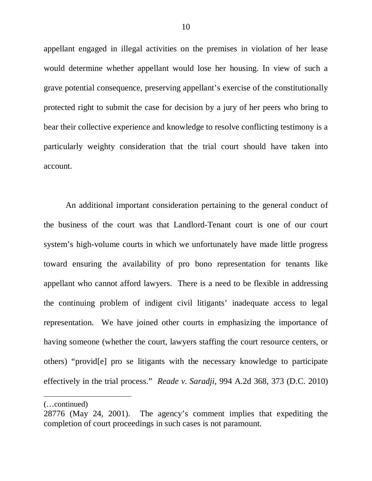appellant engaged in illegal activities on the premises in violation of her lease would determine whether appellant would lose her housing. In view of such a grave potential consequence, preserving appellant's exercise of the constitutionally protected right to submit the case for decision by a jury of her peers who bring to bear their collective experience and knowledge to resolve conflicting testimony is a particularly weighty consideration that the trial court should have taken into account.

An additional important consideration pertaining to the general conduct of the business of the court was that Landlord-Tenant court is one of our court system's high-volume courts in which we unfortunately have made little progress toward ensuring the availability of pro bono representation for tenants like appellant who cannot afford lawyers. There is a need to be flexible in addressing the continuing problem of indigent civil litigants' inadequate access to legal representation. We have joined other courts in emphasizing the importance of having someone (whether the court, lawyers staffing the court resource centers, or others) "provid[e] pro se litigants with the necessary knowledge to participate effectively in the trial process." *Reade v. Saradji*, 994 A.2d 368, 373 (D.C. 2010)

<sup>(…</sup>continued)

<sup>28776 (</sup>May 24, 2001). The agency's comment implies that expediting the completion of court proceedings in such cases is not paramount.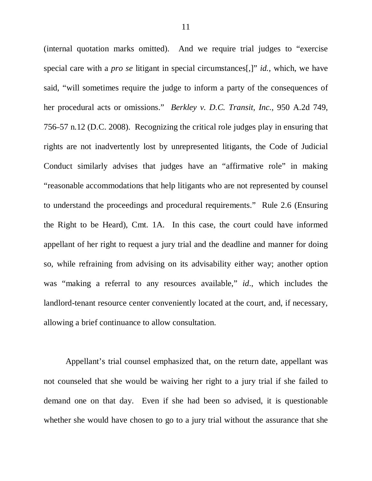(internal quotation marks omitted). And we require trial judges to "exercise special care with a *pro se* litigant in special circumstances[,]" *id.*, which, we have said, "will sometimes require the judge to inform a party of the consequences of her procedural acts or omissions." *Berkley v. D.C. Transit, Inc.*, 950 A.2d 749, 756–57 n.12 (D.C. 2008). Recognizing the critical role judges play in ensuring that rights are not inadvertently lost by unrepresented litigants, the Code of Judicial Conduct similarly advises that judges have an "affirmative role" in making "reasonable accommodations that help litigants who are not represented by counsel to understand the proceedings and procedural requirements." Rule 2.6 (Ensuring the Right to be Heard), Cmt. 1A. In this case, the court could have informed appellant of her right to request a jury trial and the deadline and manner for doing so, while refraining from advising on its advisability either way; another option was "making a referral to any resources available," *id*., which includes the landlord-tenant resource center conveniently located at the court, and, if necessary, allowing a brief continuance to allow consultation.

Appellant's trial counsel emphasized that, on the return date, appellant was not counseled that she would be waiving her right to a jury trial if she failed to demand one on that day. Even if she had been so advised, it is questionable whether she would have chosen to go to a jury trial without the assurance that she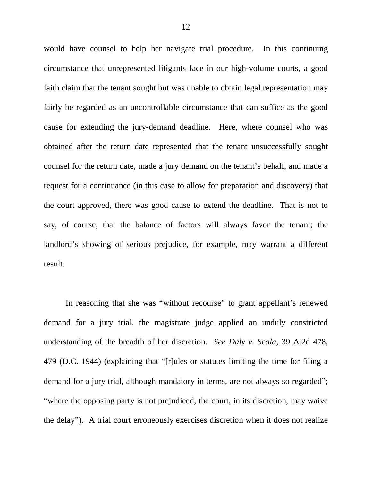would have counsel to help her navigate trial procedure. In this continuing circumstance that unrepresented litigants face in our high-volume courts, a good faith claim that the tenant sought but was unable to obtain legal representation may fairly be regarded as an uncontrollable circumstance that can suffice as the good cause for extending the jury-demand deadline. Here, where counsel who was obtained after the return date represented that the tenant unsuccessfully sought counsel for the return date, made a jury demand on the tenant's behalf, and made a request for a continuance (in this case to allow for preparation and discovery) that the court approved, there was good cause to extend the deadline. That is not to say, of course, that the balance of factors will always favor the tenant; the landlord's showing of serious prejudice, for example, may warrant a different result.

In reasoning that she was "without recourse" to grant appellant's renewed demand for a jury trial, the magistrate judge applied an unduly constricted understanding of the breadth of her discretion. *See Daly v. Scala*, 39 A.2d 478, 479 (D.C. 1944) (explaining that "[r]ules or statutes limiting the time for filing a demand for a jury trial, although mandatory in terms, are not always so regarded"; "where the opposing party is not prejudiced, the court, in its discretion, may waive the delay"). A trial court erroneously exercises discretion when it does not realize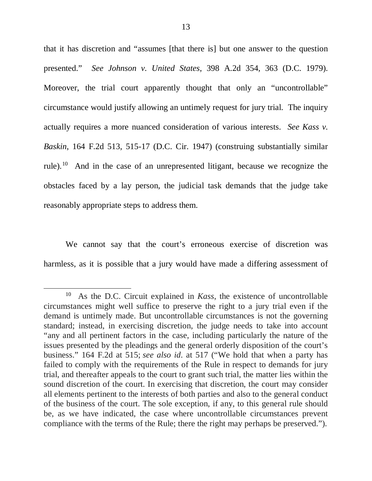that it has discretion and "assumes [that there is] but one answer to the question presented." *See Johnson v. United States*, 398 A.2d 354, 363 (D.C. 1979). Moreover, the trial court apparently thought that only an "uncontrollable" circumstance would justify allowing an untimely request for jury trial. The inquiry actually requires a more nuanced consideration of various interests. *See Kass v. Baskin*, 164 F.2d 513, 515-17 (D.C. Cir. 1947) (construing substantially similar rule).<sup>10</sup> And in the case of an unrepresented litigant, because we recognize the obstacles faced by a lay person, the judicial task demands that the judge take reasonably appropriate steps to address them.

We cannot say that the court's erroneous exercise of discretion was harmless, as it is possible that a jury would have made a differing assessment of

<span id="page-12-0"></span><sup>10</sup> As the D.C. Circuit explained in *Kass*, the existence of uncontrollable circumstances might well suffice to preserve the right to a jury trial even if the demand is untimely made. But uncontrollable circumstances is not the governing standard; instead, in exercising discretion, the judge needs to take into account "any and all pertinent factors in the case, including particularly the nature of the issues presented by the pleadings and the general orderly disposition of the court's business." 164 F.2d at 515; *see also id*. at 517 ("We hold that when a party has failed to comply with the requirements of the Rule in respect to demands for jury trial, and thereafter appeals to the court to grant such trial, the matter lies within the sound discretion of the court. In exercising that discretion, the court may consider all elements pertinent to the interests of both parties and also to the general conduct of the business of the court. The sole exception, if any, to this general rule should be, as we have indicated, the case where uncontrollable circumstances prevent compliance with the terms of the Rule; there the right may perhaps be preserved.").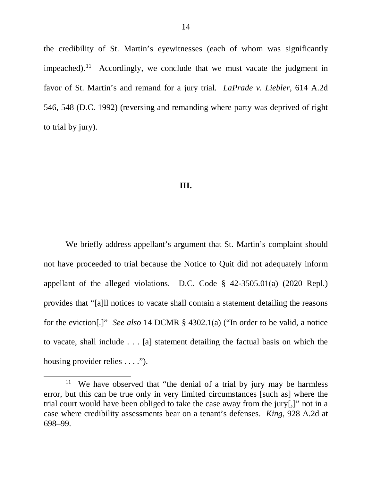the credibility of St. Martin's eyewitnesses (each of whom was significantly impeached).<sup>[11](#page-13-0)</sup> Accordingly, we conclude that we must vacate the judgment in favor of St. Martin's and remand for a jury trial. *LaPrade v. Liebler*, 614 A.2d 546, 548 (D.C. 1992) (reversing and remanding where party was deprived of right to trial by jury).

#### **III.**

We briefly address appellant's argument that St. Martin's complaint should not have proceeded to trial because the Notice to Quit did not adequately inform appellant of the alleged violations. D.C. Code § 42-3505.01(a) (2020 Repl.) provides that "[a]ll notices to vacate shall contain a statement detailing the reasons for the eviction[.]" *See also* 14 DCMR § 4302.1(a) ("In order to be valid, a notice to vacate, shall include . . . [a] statement detailing the factual basis on which the housing provider relies . . . .").

<span id="page-13-0"></span><sup>&</sup>lt;sup>11</sup> We have observed that "the denial of a trial by jury may be harmless error, but this can be true only in very limited circumstances [such as] where the trial court would have been obliged to take the case away from the jury[,]" not in a case where credibility assessments bear on a tenant's defenses. *King*, 928 A.2d at 698–99.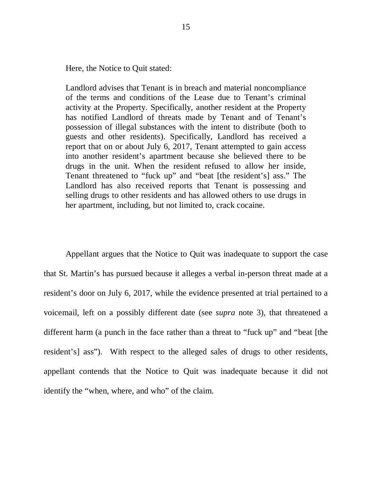Here, the Notice to Quit stated:

Landlord advises that Tenant is in breach and material noncompliance of the terms and conditions of the Lease due to Tenant's criminal activity at the Property. Specifically, another resident at the Property has notified Landlord of threats made by Tenant and of Tenant's possession of illegal substances with the intent to distribute (both to guests and other residents). Specifically, Landlord has received a report that on or about July 6, 2017, Tenant attempted to gain access into another resident's apartment because she believed there to be drugs in the unit. When the resident refused to allow her inside, Tenant threatened to "fuck up" and "beat [the resident's] ass." The Landlord has also received reports that Tenant is possessing and selling drugs to other residents and has allowed others to use drugs in her apartment, including, but not limited to, crack cocaine.

Appellant argues that the Notice to Quit was inadequate to support the case that St. Martin's has pursued because it alleges a verbal in-person threat made at a resident's door on July 6, 2017, while the evidence presented at trial pertained to a voicemail, left on a possibly different date (see *supra* note 3), that threatened a different harm (a punch in the face rather than a threat to "fuck up" and "beat [the resident's] ass"). With respect to the alleged sales of drugs to other residents, appellant contends that the Notice to Quit was inadequate because it did not identify the "when, where, and who" of the claim.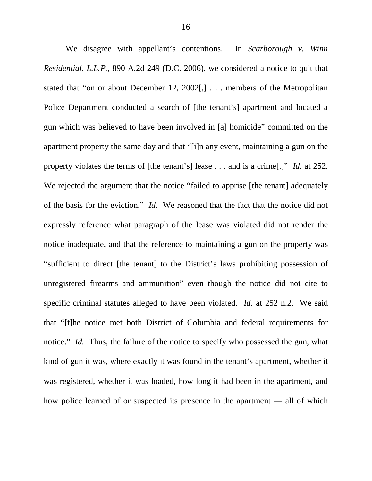We disagree with appellant's contentions. In *Scarborough v. Winn Residential, L.L.P.*, 890 A.2d 249 (D.C. 2006), we considered a notice to quit that stated that "on or about December 12, 2002[,] . . . members of the Metropolitan Police Department conducted a search of [the tenant's] apartment and located a gun which was believed to have been involved in [a] homicide" committed on the apartment property the same day and that "[i]n any event, maintaining a gun on the property violates the terms of [the tenant's] lease . . . and is a crime[.]" *Id.* at 252. We rejected the argument that the notice "failed to apprise [the tenant] adequately of the basis for the eviction." *Id.* We reasoned that the fact that the notice did not expressly reference what paragraph of the lease was violated did not render the notice inadequate, and that the reference to maintaining a gun on the property was "sufficient to direct [the tenant] to the District's laws prohibiting possession of unregistered firearms and ammunition" even though the notice did not cite to specific criminal statutes alleged to have been violated. *Id.* at 252 n.2. We said that "[t]he notice met both District of Columbia and federal requirements for notice." *Id.* Thus, the failure of the notice to specify who possessed the gun, what kind of gun it was, where exactly it was found in the tenant's apartment, whether it was registered, whether it was loaded, how long it had been in the apartment, and how police learned of or suspected its presence in the apartment — all of which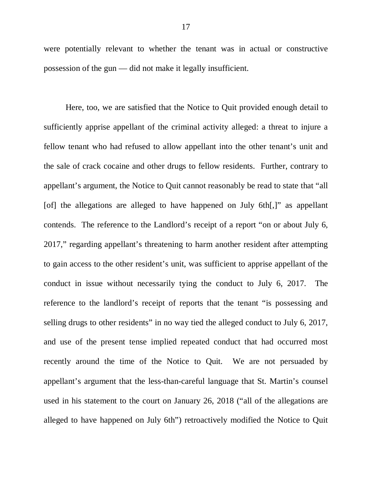were potentially relevant to whether the tenant was in actual or constructive possession of the gun — did not make it legally insufficient.

Here, too, we are satisfied that the Notice to Quit provided enough detail to sufficiently apprise appellant of the criminal activity alleged: a threat to injure a fellow tenant who had refused to allow appellant into the other tenant's unit and the sale of crack cocaine and other drugs to fellow residents. Further, contrary to appellant's argument, the Notice to Quit cannot reasonably be read to state that "all [of] the allegations are alleged to have happened on July 6th[,]" as appellant contends. The reference to the Landlord's receipt of a report "on or about July 6, 2017," regarding appellant's threatening to harm another resident after attempting to gain access to the other resident's unit, was sufficient to apprise appellant of the conduct in issue without necessarily tying the conduct to July 6, 2017. The reference to the landlord's receipt of reports that the tenant "is possessing and selling drugs to other residents" in no way tied the alleged conduct to July 6, 2017, and use of the present tense implied repeated conduct that had occurred most recently around the time of the Notice to Quit. We are not persuaded by appellant's argument that the less-than-careful language that St. Martin's counsel used in his statement to the court on January 26, 2018 ("all of the allegations are alleged to have happened on July 6th") retroactively modified the Notice to Quit